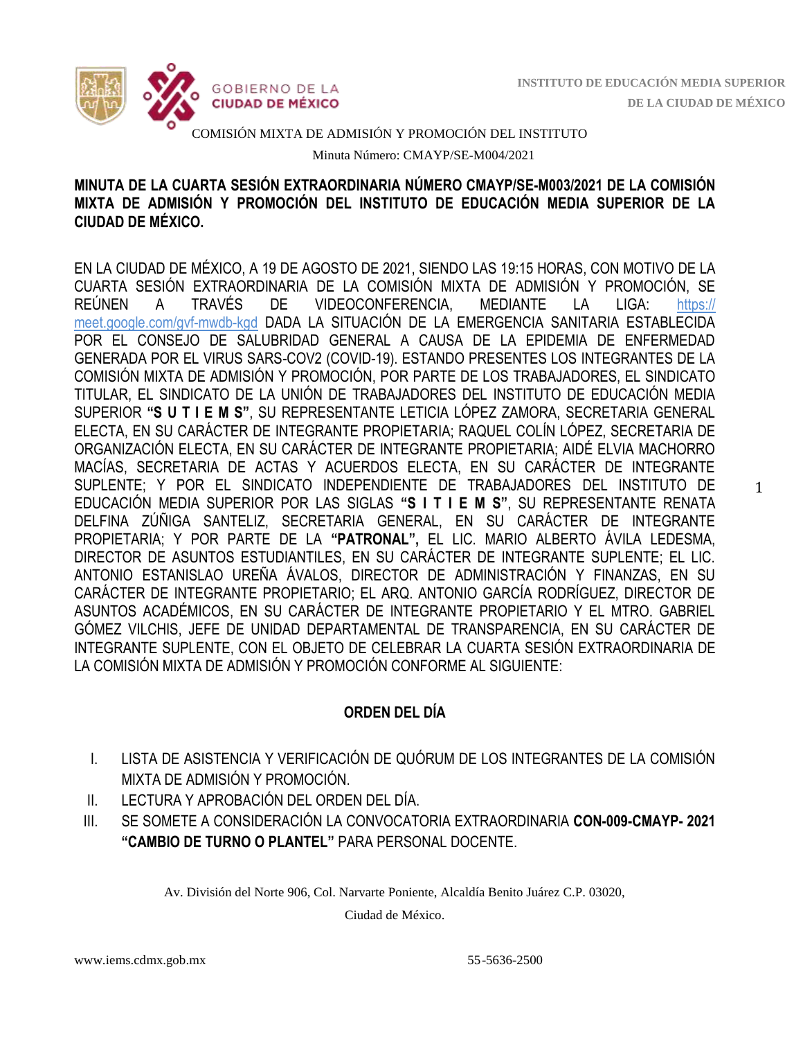1



#### COMISIÓN MIXTA DE ADMISIÓN Y PROMOCIÓN DEL INSTITUTO

Minuta Número: CMAYP/SE-M004/2021

## **MINUTA DE LA CUARTA SESIÓN EXTRAORDINARIA NÚMERO CMAYP/SE-M003/2021 DE LA COMISIÓN MIXTA DE ADMISIÓN Y PROMOCIÓN DEL INSTITUTO DE EDUCACIÓN MEDIA SUPERIOR DE LA CIUDAD DE MÉXICO.**

EN LA CIUDAD DE MÉXICO, A 19 DE AGOSTO DE 2021, SIENDO LAS 19:15 HORAS, CON MOTIVO DE LA CUARTA SESIÓN EXTRAORDINARIA DE LA COMISIÓN MIXTA DE ADMISIÓN Y PROMOCIÓN, SE REÚNEN A TRAVÉS DE VIDEOCONFERENCIA, MEDIANTE LA LIGA: [https://](https://meet.google.com/qvf-nfwz-cgp) [meet.google.com/gvf-mwdb-kgd](https://meet.google.com/qvf-nfwz-cgp) DADA LA SITUACIÓN DE LA EMERGENCIA SANITARIA ESTABLECIDA POR EL CONSEJO DE SALUBRIDAD GENERAL A CAUSA DE LA EPIDEMIA DE ENFERMEDAD GENERADA POR EL VIRUS SARS-COV2 (COVID-19). ESTANDO PRESENTES LOS INTEGRANTES DE LA COMISIÓN MIXTA DE ADMISIÓN Y PROMOCIÓN, POR PARTE DE LOS TRABAJADORES, EL SINDICATO TITULAR, EL SINDICATO DE LA UNIÓN DE TRABAJADORES DEL INSTITUTO DE EDUCACIÓN MEDIA SUPERIOR **"S U T I E M S"**, SU REPRESENTANTE LETICIA LÓPEZ ZAMORA, SECRETARIA GENERAL ELECTA, EN SU CARÁCTER DE INTEGRANTE PROPIETARIA; RAQUEL COLÍN LÓPEZ, SECRETARIA DE ORGANIZACIÓN ELECTA, EN SU CARÁCTER DE INTEGRANTE PROPIETARIA; AIDÉ ELVIA MACHORRO MACÍAS, SECRETARIA DE ACTAS Y ACUERDOS ELECTA, EN SU CARÁCTER DE INTEGRANTE SUPLENTE; Y POR EL SINDICATO INDEPENDIENTE DE TRABAJADORES DEL INSTITUTO DE EDUCACIÓN MEDIA SUPERIOR POR LAS SIGLAS **"S I T I E M S"**, SU REPRESENTANTE RENATA DELFINA ZÚÑIGA SANTELIZ, SECRETARIA GENERAL, EN SU CARÁCTER DE INTEGRANTE PROPIETARIA; Y POR PARTE DE LA **"PATRONAL",** EL LIC. MARIO ALBERTO ÁVILA LEDESMA, DIRECTOR DE ASUNTOS ESTUDIANTILES, EN SU CARÁCTER DE INTEGRANTE SUPLENTE; EL LIC. ANTONIO ESTANISLAO UREÑA ÁVALOS, DIRECTOR DE ADMINISTRACIÓN Y FINANZAS, EN SU CARÁCTER DE INTEGRANTE PROPIETARIO; EL ARQ. ANTONIO GARCÍA RODRÍGUEZ, DIRECTOR DE ASUNTOS ACADÉMICOS, EN SU CARÁCTER DE INTEGRANTE PROPIETARIO Y EL MTRO. GABRIEL GÓMEZ VILCHIS, JEFE DE UNIDAD DEPARTAMENTAL DE TRANSPARENCIA, EN SU CARÁCTER DE INTEGRANTE SUPLENTE, CON EL OBJETO DE CELEBRAR LA CUARTA SESIÓN EXTRAORDINARIA DE LA COMISIÓN MIXTA DE ADMISIÓN Y PROMOCIÓN CONFORME AL SIGUIENTE:

# **ORDEN DEL DÍA**

- I. LISTA DE ASISTENCIA Y VERIFICACIÓN DE QUÓRUM DE LOS INTEGRANTES DE LA COMISIÓN MIXTA DE ADMISIÓN Y PROMOCIÓN.
- II. LECTURA Y APROBACIÓN DEL ORDEN DEL DÍA.
- III. SE SOMETE A CONSIDERACIÓN LA CONVOCATORIA EXTRAORDINARIA **CON-009-CMAYP- 2021 "CAMBIO DE TURNO O PLANTEL"** PARA PERSONAL DOCENTE.

Av. División del Norte 906, Col. Narvarte Poniente, Alcaldía Benito Juárez C.P. 03020,

Ciudad de México.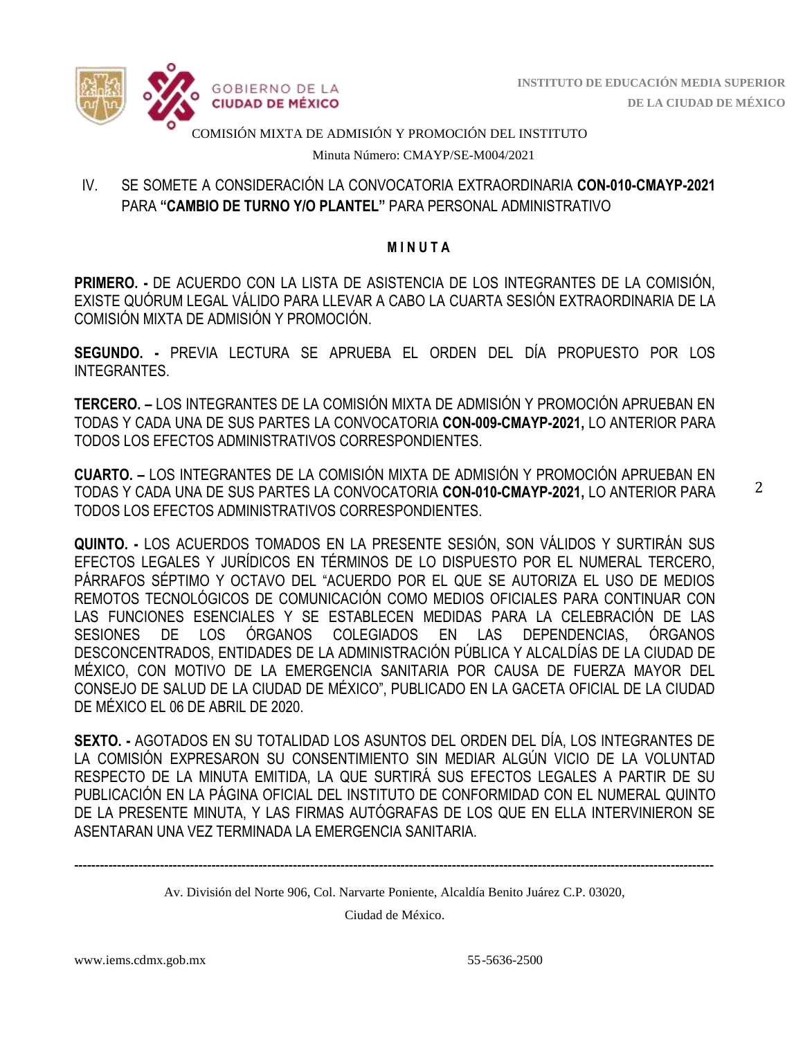

COMISIÓN MIXTA DE ADMISIÓN Y PROMOCIÓN DEL INSTITUTO

Minuta Número: CMAYP/SE-M004/2021

# IV. SE SOMETE A CONSIDERACIÓN LA CONVOCATORIA EXTRAORDINARIA **CON-010-CMAYP-2021**  PARA **"CAMBIO DE TURNO Y/O PLANTEL"** PARA PERSONAL ADMINISTRATIVO

#### **M I N U T A**

**PRIMERO. -** DE ACUERDO CON LA LISTA DE ASISTENCIA DE LOS INTEGRANTES DE LA COMISIÓN, EXISTE QUÓRUM LEGAL VÁLIDO PARA LLEVAR A CABO LA CUARTA SESIÓN EXTRAORDINARIA DE LA COMISIÓN MIXTA DE ADMISIÓN Y PROMOCIÓN.

**SEGUNDO. -** PREVIA LECTURA SE APRUEBA EL ORDEN DEL DÍA PROPUESTO POR LOS **INTEGRANTES** 

**TERCERO. –** LOS INTEGRANTES DE LA COMISIÓN MIXTA DE ADMISIÓN Y PROMOCIÓN APRUEBAN EN TODAS Y CADA UNA DE SUS PARTES LA CONVOCATORIA **CON-009-CMAYP-2021,** LO ANTERIOR PARA TODOS LOS EFECTOS ADMINISTRATIVOS CORRESPONDIENTES.

**CUARTO. –** LOS INTEGRANTES DE LA COMISIÓN MIXTA DE ADMISIÓN Y PROMOCIÓN APRUEBAN EN TODAS Y CADA UNA DE SUS PARTES LA CONVOCATORIA **CON-010-CMAYP-2021,** LO ANTERIOR PARA TODOS LOS EFECTOS ADMINISTRATIVOS CORRESPONDIENTES.

**QUINTO. -** LOS ACUERDOS TOMADOS EN LA PRESENTE SESIÓN, SON VÁLIDOS Y SURTIRÁN SUS EFECTOS LEGALES Y JURÍDICOS EN TÉRMINOS DE LO DISPUESTO POR EL NUMERAL TERCERO, PÁRRAFOS SÉPTIMO Y OCTAVO DEL "ACUERDO POR EL QUE SE AUTORIZA EL USO DE MEDIOS REMOTOS TECNOLÓGICOS DE COMUNICACIÓN COMO MEDIOS OFICIALES PARA CONTINUAR CON LAS FUNCIONES ESENCIALES Y SE ESTABLECEN MEDIDAS PARA LA CELEBRACIÓN DE LAS SESIONES DE LOS ÓRGANOS COLEGIADOS EN LAS DEPENDENCIAS, ÓRGANOS DESCONCENTRADOS, ENTIDADES DE LA ADMINISTRACIÓN PÚBLICA Y ALCALDÍAS DE LA CIUDAD DE MÉXICO, CON MOTIVO DE LA EMERGENCIA SANITARIA POR CAUSA DE FUERZA MAYOR DEL CONSEJO DE SALUD DE LA CIUDAD DE MÉXICO", PUBLICADO EN LA GACETA OFICIAL DE LA CIUDAD DE MÉXICO EL 06 DE ABRIL DE 2020.

**SEXTO. -** AGOTADOS EN SU TOTALIDAD LOS ASUNTOS DEL ORDEN DEL DÍA, LOS INTEGRANTES DE LA COMISIÓN EXPRESARON SU CONSENTIMIENTO SIN MEDIAR ALGÚN VICIO DE LA VOLUNTAD RESPECTO DE LA MINUTA EMITIDA, LA QUE SURTIRÁ SUS EFECTOS LEGALES A PARTIR DE SU PUBLICACIÓN EN LA PÁGINA OFICIAL DEL INSTITUTO DE CONFORMIDAD CON EL NUMERAL QUINTO DE LA PRESENTE MINUTA, Y LAS FIRMAS AUTÓGRAFAS DE LOS QUE EN ELLA INTERVINIERON SE ASENTARAN UNA VEZ TERMINADA LA EMERGENCIA SANITARIA.

Av. División del Norte 906, Col. Narvarte Poniente, Alcaldía Benito Juárez C.P. 03020,

-----------------------------------------------------------------------------------------------------------------------------------------------------

Ciudad de México.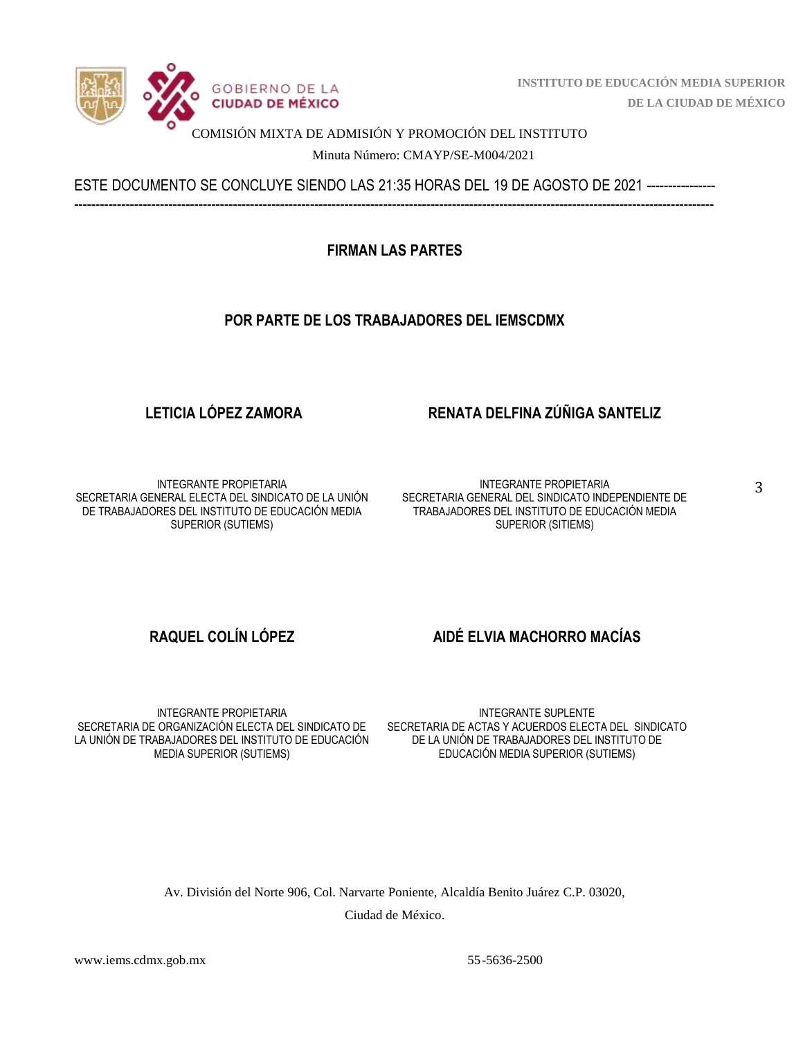

 **INSTITUTO DE EDUCACIÓN MEDIA SUPERIOR DE LA CIUDAD DE MÉXICO**

#### COMISIÓN MIXTA DE ADMISIÓN Y PROMOCIÓN DEL INSTITUTO

Minuta Número: CMAYP/SE-M004/2021

ESTE DOCUMENTO SE CONCLUYE SIENDO LAS 21:35 HORAS DEL 19 DE AGOSTO DE 2021 ---------------- -----------------------------------------------------------------------------------------------------------------------------------------------------

**FIRMAN LAS PARTES**

## **POR PARTE DE LOS TRABAJADORES DEL IEMSCDMX**

# **LETICIA LÓPEZ ZAMORA RENATA DELFINA ZÚÑIGA SANTELIZ**

INTEGRANTE PROPIETARIA SECRETARIA GENERAL ELECTA DEL SINDICATO DE LA UNIÓN DE TRABAJADORES DEL INSTITUTO DE EDUCACIÓN MEDIA SUPERIOR (SUTIEMS)

INTEGRANTE PROPIETARIA SECRETARIA GENERAL DEL SINDICATO INDEPENDIENTE DE TRABAJADORES DEL INSTITUTO DE EDUCACIÓN MEDIA SUPERIOR (SITIEMS)

## **RAQUEL COLÍN LÓPEZ AIDÉ ELVIA MACHORRO MACÍAS**

INTEGRANTE PROPIETARIA SECRETARIA DE ORGANIZACIÓN ELECTA DEL SINDICATO DE LA UNIÓN DE TRABAJADORES DEL INSTITUTO DE EDUCACIÓN MEDIA SUPERIOR (SUTIEMS)

INTEGRANTE SUPLENTE SECRETARIA DE ACTAS Y ACUERDOS ELECTA DEL SINDICATO DE LA UNIÓN DE TRABAJADORES DEL INSTITUTO DE EDUCACIÓN MEDIA SUPERIOR (SUTIEMS)

Av. División del Norte 906, Col. Narvarte Poniente, Alcaldía Benito Juárez C.P. 03020, Ciudad de México.